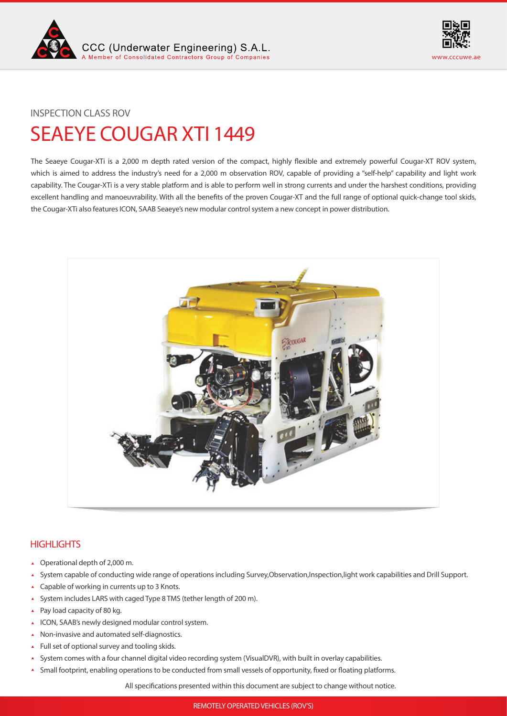



## INSPECTION CLASS ROV

# SEAEYE COUGAR XTI 1449

The Seaeye Cougar-XTi is a 2,000 m depth rated version of the compact, highly flexible and extremely powerful Cougar-XT ROV system, which is aimed to address the industry's need for a 2,000 m observation ROV, capable of providing a "self-help" capability and light work capability. The Cougar-XTi is a very stable platform and is able to perform well in strong currents and under the harshest conditions, providing excellent handling and manoeuvrability. With all the benefits of the proven Cougar-XT and the full range of optional quick-change tool skids, the Cougar-XTi also features ICON, SAAB Seaeye's new modular control system a new concept in power distribution.



# **HIGHLIGHTS**

- Operational depth of 2,000 m.
- System capable of conducting wide range of operations including Survey,Observation,Inspection,light work capabilities and Drill Support.
- Capable of working in currents up to 3 Knots.
- System includes LARS with caged Type 8 TMS (tether length of 200 m).  $\hat{\mathbf{A}}$
- Pay load capacity of 80 kg.
- ICON, SAAB's newly designed modular control system.
- Non-invasive and automated self-diagnostics.
- Full set of optional survey and tooling skids.
- System comes with a four channel digital video recording system (VisualDVR), with built in overlay capabilities.  $\blacktriangle$
- Small footprint, enabling operations to be conducted from small vessels of opportunity, fixed or floating platforms.  $\blacktriangle$

All specifications presented within this document are subject to change without notice.